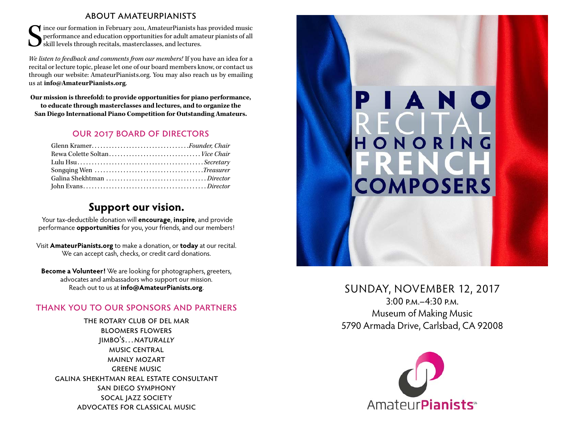#### about amateurpianists

 $\begin{array}{l} \displaystyle\bullet\text{} \end{array}$  Ince our formation in February 2011, AmateurPianists has provided music performance and education opportunities for adult amateur pianists of all skill levels through recitals, masterclasses, and le performance and education opportunities for adult amateur pianists of all skill levels through recitals, masterclasses, and lectures.

*We listen to feedback and comments from our members!* If you have an idea for a recital or lecture topic, please let one of our board members know, or contact us through our website: [AmateurPianists.org](http://AmateurPianists.org). You may also reach us by emailing us at **[info@AmateurPianists.org](mailto:info@AmateurPianists.org)**.

**Our mission is threefold: to provide opportunities for piano performance, to educate through masterclasses and lectures, and to organize the San Diego International Piano Competition for Outstanding Amateurs.**

### our 2017 board of directors

| Glenn Kramer <i>.Founder, Chair</i> |  |
|-------------------------------------|--|
|                                     |  |
|                                     |  |
|                                     |  |
|                                     |  |
|                                     |  |

## **Support our vision.**

Your tax-deductible donation will **encourage**, **inspire**, and provide performance **opportunities** for you, your friends, and our members!

Visit **[AmateurPianists.org](http://AmateurPianists.org)** to make a donation, or **today** at our recital. We can accept cash, checks, or credit card donations.

**Become a Volunteer!** We are looking for photographers, greeters, advocates and ambassadors who support our mission. Reach out to us at **[info@AmateurPianists.org](mailto:info@AmateurPianists.org)**.

### thank you to our sponsors and partners

the rotary club of del mar bloomers flowers jimbo's…naturally music central mainly mozart greene music galina shekhtman real estate consultant san diego symphony socal jazz society advocates for classical music



### SUNDAY, NOVEMBER 12, 2017

3:00 p.m.–4:30 p.m. Museum of Making Music 5790 Armada Drive, Carlsbad, CA 92008